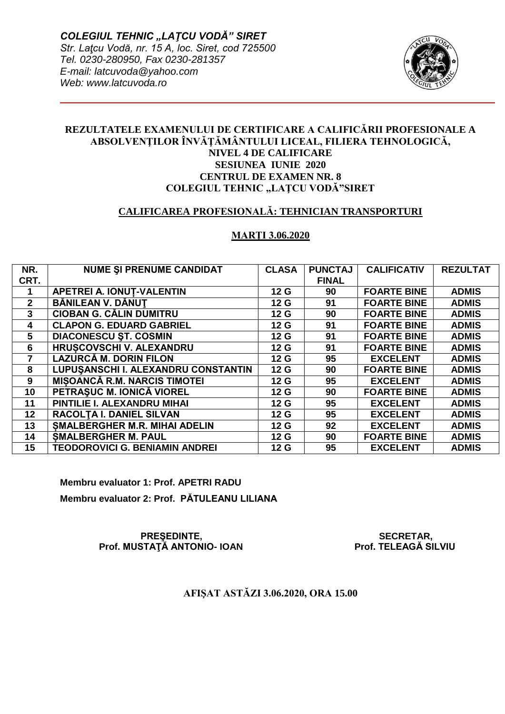

## **REZULTATELE EXAMENULUI DE CERTIFICARE A CALIFICĂRII PROFESIONALE A ABSOLVENŢILOR ÎNVĂŢĂMÂNTULUI LICEAL, FILIERA TEHNOLOGICĂ, NIVEL 4 DE CALIFICARE SESIUNEA IUNIE 2020 CENTRUL DE EXAMEN NR. 8 COLEGIUL TEHNIC "LAȚCU VODĂ"SIRET**

## **CALIFICAREA PROFESIONALĂ: TEHNICIAN TRANSPORTURI**

## **MARŢI 3.06.2020**

| NR.            | <b>NUME SI PRENUME CANDIDAT</b>       | <b>CLASA</b>    | <b>PUNCTAJ</b> | <b>CALIFICATIV</b> | <b>REZULTAT</b> |
|----------------|---------------------------------------|-----------------|----------------|--------------------|-----------------|
| CRT.           |                                       |                 | <b>FINAL</b>   |                    |                 |
|                | <b>APETREI A. IONUT-VALENTIN</b>      | 12 <sub>G</sub> | 90             | <b>FOARTE BINE</b> | <b>ADMIS</b>    |
| $\mathbf{2}$   | BĂNILEAN V. DĂNUT                     | 12 <sub>G</sub> | 91             | <b>FOARTE BINE</b> | <b>ADMIS</b>    |
| 3              | <b>CIOBAN G. CĂLIN DUMITRU</b>        | 12 <sub>G</sub> | 90             | <b>FOARTE BINE</b> | <b>ADMIS</b>    |
| $\overline{4}$ | <b>CLAPON G. EDUARD GABRIEL</b>       | 12 <sub>G</sub> | 91             | <b>FOARTE BINE</b> | <b>ADMIS</b>    |
| 5              | <b>DIACONESCU ST. COSMIN</b>          | 12 <sub>G</sub> | 91             | <b>FOARTE BINE</b> | <b>ADMIS</b>    |
| 6              | <b>HRUSCOVSCHI V. ALEXANDRU</b>       | 12 <sub>G</sub> | 91             | <b>FOARTE BINE</b> | <b>ADMIS</b>    |
|                | LAZURCĂ M. DORIN FILON                | 12 <sub>G</sub> | 95             | <b>EXCELENT</b>    | <b>ADMIS</b>    |
| 8              | LUPUŞANSCHI I. ALEXANDRU CONSTANTIN   | 12 <sub>G</sub> | 90             | <b>FOARTE BINE</b> | <b>ADMIS</b>    |
| 9              | <b>MISOANCĂ R.M. NARCIS TIMOTEI</b>   | 12 <sub>G</sub> | 95             | <b>EXCELENT</b>    | <b>ADMIS</b>    |
| 10             | PETRASUC M. IONICĂ VIOREL             | 12 <sub>G</sub> | 90             | <b>FOARTE BINE</b> | <b>ADMIS</b>    |
| 11             | PINTILIE I. ALEXANDRU MIHAI           | 12 <sub>G</sub> | 95             | <b>EXCELENT</b>    | <b>ADMIS</b>    |
| 12             | RACOLTA I. DANIEL SILVAN              | 12 <sub>G</sub> | 95             | <b>EXCELENT</b>    | <b>ADMIS</b>    |
| 13             | <b>SMALBERGHER M.R. MIHAI ADELIN</b>  | 12 <sub>G</sub> | 92             | <b>EXCELENT</b>    | <b>ADMIS</b>    |
| 14             | <b>SMALBERGHER M. PAUL</b>            | 12 <sub>G</sub> | 90             | <b>FOARTE BINE</b> | <b>ADMIS</b>    |
| 15             | <b>TEODOROVICI G. BENIAMIN ANDREI</b> | 12 <sub>G</sub> | 95             | <b>EXCELENT</b>    | <b>ADMIS</b>    |

**Membru evaluator 1: Prof. APETRI RADU Membru evaluator 2: Prof. PĂTULEANU LILIANA** 

> PREȘEDINTE,<br>STATĂ ANTONIO- IOAN STATĂ Prof. TELEAGĂ SILVIU  **Prof. MUSTATĂ ANTONIO- IOAN**

**AFIŞAT ASTĂZI 3.06.2020, ORA 15.00**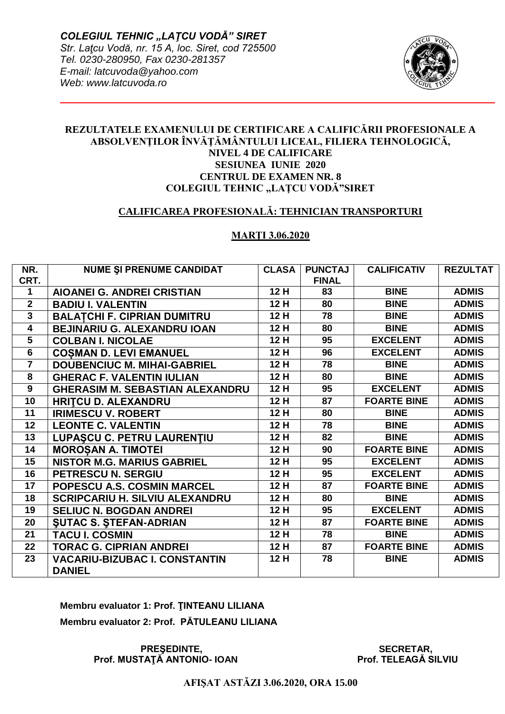

## **REZULTATELE EXAMENULUI DE CERTIFICARE A CALIFICĂRII PROFESIONALE A ABSOLVENŢILOR ÎNVĂŢĂMÂNTULUI LICEAL, FILIERA TEHNOLOGICĂ, NIVEL 4 DE CALIFICARE SESIUNEA IUNIE 2020 CENTRUL DE EXAMEN NR. 8 COLEGIUL TEHNIC "LAȚCU VODĂ"SIRET**

## **CALIFICAREA PROFESIONALĂ: TEHNICIAN TRANSPORTURI**

#### **MARŢI 3.06.2020**

| NR.                     | <b>NUME SI PRENUME CANDIDAT</b>        | <b>CLASA</b> | <b>PUNCTAJ</b> | <b>CALIFICATIV</b> | <b>REZULTAT</b> |
|-------------------------|----------------------------------------|--------------|----------------|--------------------|-----------------|
| CRT.                    |                                        |              | <b>FINAL</b>   |                    |                 |
| 1                       | <b>AIOANEI G. ANDREI CRISTIAN</b>      | 12 H         | 83             | <b>BINE</b>        | <b>ADMIS</b>    |
| $\overline{2}$          | <b>BADIU I. VALENTIN</b>               | 12 H         | 80             | <b>BINE</b>        | <b>ADMIS</b>    |
| $\overline{3}$          | <b>BALATCHI F. CIPRIAN DUMITRU</b>     | 12 H         | 78             | <b>BINE</b>        | <b>ADMIS</b>    |
| $\overline{\mathbf{4}}$ | <b>BEJINARIU G. ALEXANDRU IOAN</b>     | 12 H         | 80             | <b>BINE</b>        | <b>ADMIS</b>    |
| $5\phantom{.0}$         | <b>COLBAN I. NICOLAE</b>               | 12H          | 95             | <b>EXCELENT</b>    | <b>ADMIS</b>    |
| 6                       | <b>COSMAN D. LEVI EMANUEL</b>          | 12 H         | 96             | <b>EXCELENT</b>    | <b>ADMIS</b>    |
| $\overline{7}$          | <b>DOUBENCIUC M. MIHAI-GABRIEL</b>     | 12 H         | 78             | <b>BINE</b>        | <b>ADMIS</b>    |
| 8                       | <b>GHERAC F. VALENTIN IULIAN</b>       | 12 H         | 80             | <b>BINE</b>        | <b>ADMIS</b>    |
| $\mathbf{9}$            | <b>GHERASIM M. SEBASTIAN ALEXANDRU</b> | 12H          | 95             | <b>EXCELENT</b>    | <b>ADMIS</b>    |
| 10                      | <b>HRITCU D. ALEXANDRU</b>             | 12 H         | 87             | <b>FOARTE BINE</b> | <b>ADMIS</b>    |
| 11                      | <b>IRIMESCU V. ROBERT</b>              | 12 H         | 80             | <b>BINE</b>        | <b>ADMIS</b>    |
| 12                      | <b>LEONTE C. VALENTIN</b>              | 12 H         | 78             | <b>BINE</b>        | <b>ADMIS</b>    |
| 13                      | LUPAȘCU C. PETRU LAURENȚIU             | 12 H         | 82             | <b>BINE</b>        | <b>ADMIS</b>    |
| 14                      | <b>MOROȘAN A. TIMOTEI</b>              | 12 H         | 90             | <b>FOARTE BINE</b> | <b>ADMIS</b>    |
| 15                      | <b>NISTOR M.G. MARIUS GABRIEL</b>      | 12 H         | 95             | <b>EXCELENT</b>    | <b>ADMIS</b>    |
| 16                      | PETRESCU N. SERGIU                     | 12 H         | 95             | <b>EXCELENT</b>    | <b>ADMIS</b>    |
| 17                      | POPESCU A.S. COSMIN MARCEL             | 12H          | 87             | <b>FOARTE BINE</b> | <b>ADMIS</b>    |
| 18                      | <b>SCRIPCARIU H. SILVIU ALEXANDRU</b>  | 12 H         | 80             | <b>BINE</b>        | <b>ADMIS</b>    |
| 19                      | <b>SELIUC N. BOGDAN ANDREI</b>         | 12H          | 95             | <b>EXCELENT</b>    | <b>ADMIS</b>    |
| 20                      | <b>SUTAC S. STEFAN-ADRIAN</b>          | 12 H         | 87             | <b>FOARTE BINE</b> | <b>ADMIS</b>    |
| 21                      | <b>TACU I. COSMIN</b>                  | 12 H         | 78             | <b>BINE</b>        | <b>ADMIS</b>    |
| 22                      | <b>TORAC G. CIPRIAN ANDREI</b>         | 12 H         | 87             | <b>FOARTE BINE</b> | <b>ADMIS</b>    |
| 23                      | <b>VACARIU-BIZUBAC I. CONSTANTIN</b>   | 12H          | 78             | <b>BINE</b>        | <b>ADMIS</b>    |
|                         | <b>DANIEL</b>                          |              |                |                    |                 |

# **Membru evaluator 1: Prof. ŢINTEANU LILIANA Membru evaluator 2: Prof. PĂTULEANU LILIANA**

PREŞEDINTE, SECRETAR, SECRETAR, SECRETAR, SECRETAR, SECRETAR, SECRETAR, SECRETAR, SECRETAR, SECRETAR, SECRETAR, SECRETAR, SECRETAR, SECRETAR, SECRETAR, SECRETAR, SECRETAR, SECRETAR, SECRETAR, SECRETAR, SECRETAR, SECRETAR,  **Prof. MUSTAȚĂ ANTONIO- IOAN Prof. TELEAGĂ SILVIU** 

**AFIŞAT ASTĂZI 3.06.2020, ORA 15.00**